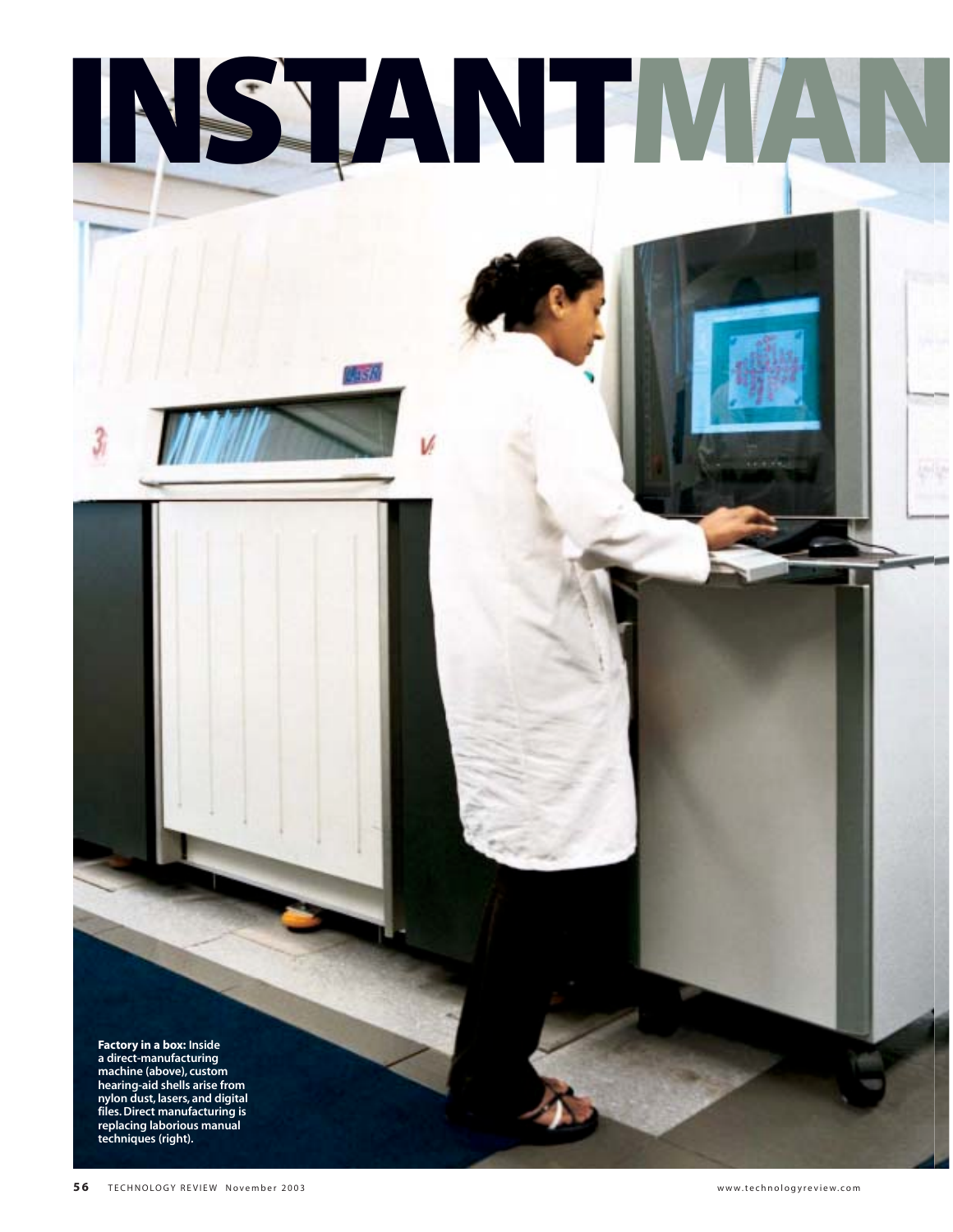**Factory in a box: Inside a direct-manufacturing machine (above), custom hearing-aid shells arise from nylon dust, lasers, and digital files. Direct manufacturing is replacing laborious manual techniques (right).**

**INSTANTMAN**

ABN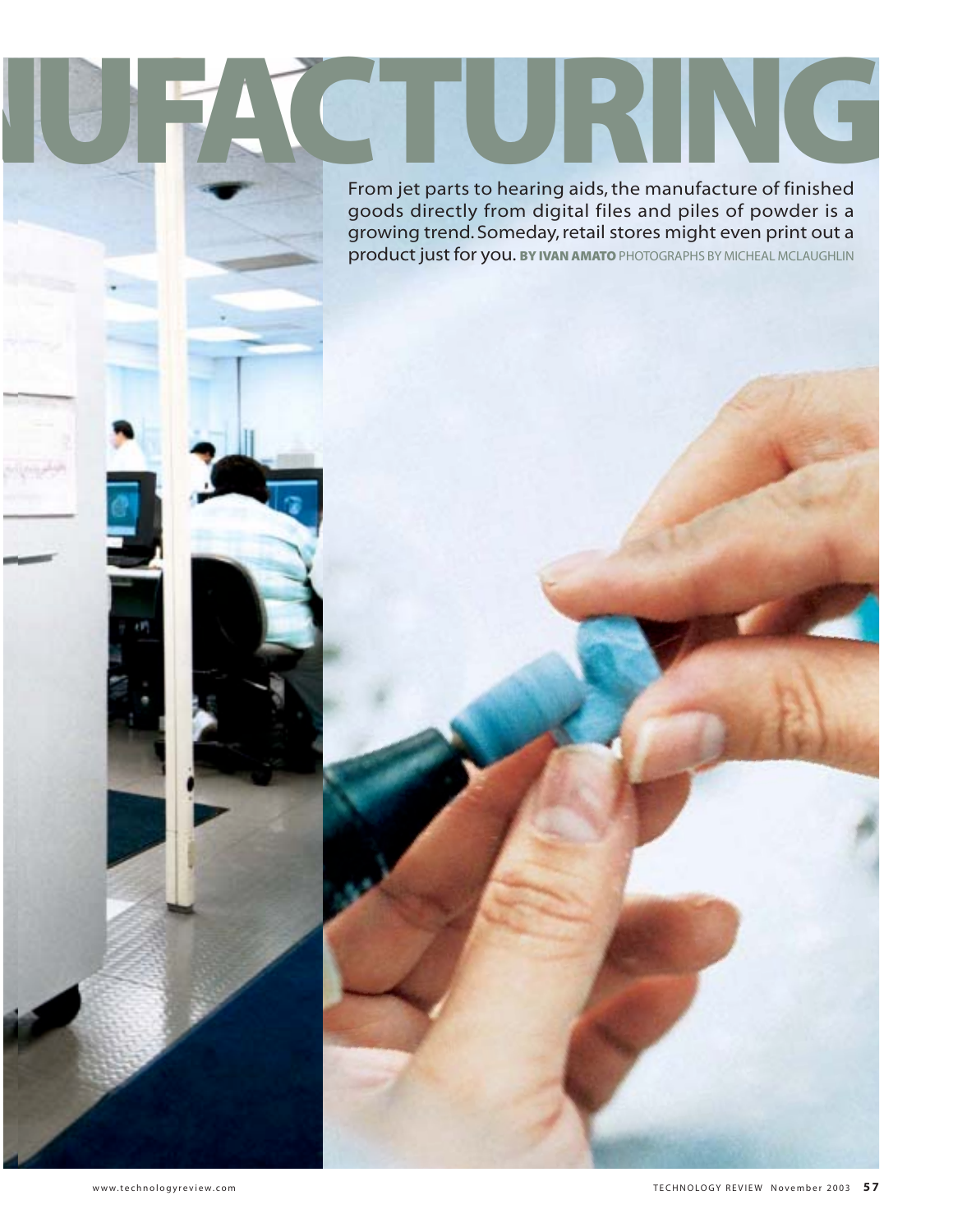From jet parts to hearing aids, the manufacture of finished goods directly from digital files and piles of powder is a growing trend. Someday, retail stores might even print out a product just for you. **BY IVAN AMATO** PHOTOGRAPHS BY MICHEAL MCLAUGHLIN From jet parts to hearing aids, the manufacture of finished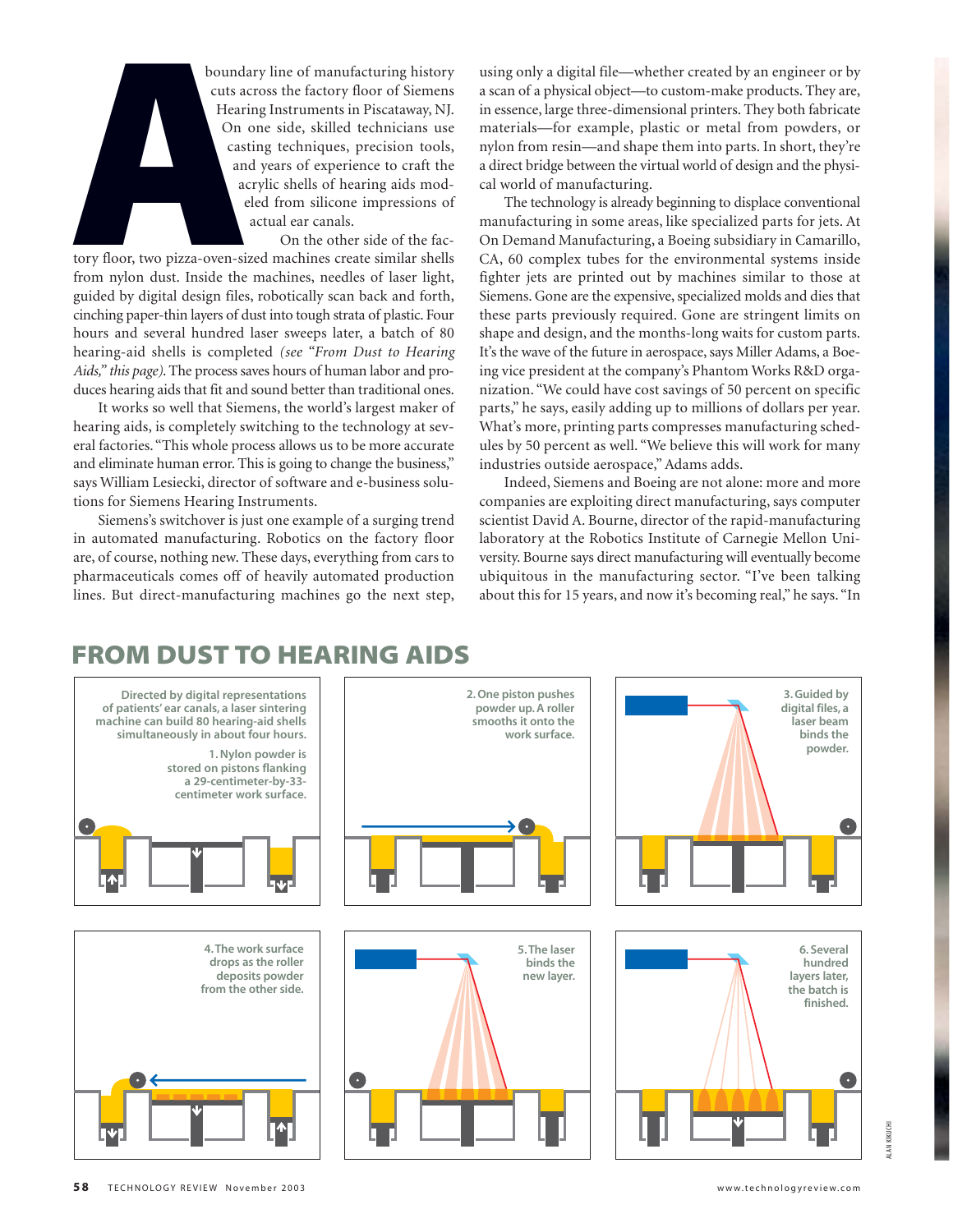boundary line of manufacturing history cuts across the factory floor of Siemens Hearing Instruments in Piscataway, NJ. On one side, skilled technicians use casting techniques, precision tools, and years of experience to craft the acrylic shells of hearing aids modeled from silicone impressions of actual ear canals.

On the other side of the factory floor, two pizza-oven-sized machines create similar shells from nylon dust. Inside the machines, needles of laser light, guided by digital design files, robotically scan back and forth, cinching paper-thin layers of dust into tough strata of plastic. Four hours and several hundred laser sweeps later, a batch of 80 hearing-aid shells is completed *(see "From Dust to Hearing Aids," this page)*. The process saves hours of human labor and produces hearing aids that fit and sound better than traditional ones. bounda<br>
cuts ac<br>
cuts ac<br>
Heari<br>
On c<br>
cast<br>
and<br>
ac<br>
ac<br>
e<br>
e<br>
e<br>
itory floor, two pizza-oven-siz<br>
from nylon dust. Inside the<br>
guided by digital design files<br>
cinching paper-thin layers of d

It works so well that Siemens, the world's largest maker of hearing aids, is completely switching to the technology at several factories. "This whole process allows us to be more accurate and eliminate human error. This is going to change the business," says William Lesiecki, director of software and e-business solutions for Siemens Hearing Instruments.

Siemens's switchover is just one example of a surging trend in automated manufacturing. Robotics on the factory floor are, of course, nothing new. These days, everything from cars to pharmaceuticals comes off of heavily automated production lines. But direct-manufacturing machines go the next step,

using only a digital file—whether created by an engineer or by a scan of a physical object—to custom-make products. They are, in essence, large three-dimensional printers. They both fabricate materials—for example, plastic or metal from powders, or nylon from resin—and shape them into parts. In short, they're a direct bridge between the virtual world of design and the physical world of manufacturing.

The technology is already beginning to displace conventional manufacturing in some areas, like specialized parts for jets. At On Demand Manufacturing, a Boeing subsidiary in Camarillo, CA, 60 complex tubes for the environmental systems inside fighter jets are printed out by machines similar to those at Siemens. Gone are the expensive, specialized molds and dies that these parts previously required. Gone are stringent limits on shape and design, and the months-long waits for custom parts. It's the wave of the future in aerospace, says Miller Adams, a Boeing vice president at the company's Phantom Works R&D organization. "We could have cost savings of 50 percent on specific parts," he says, easily adding up to millions of dollars per year. What's more, printing parts compresses manufacturing schedules by 50 percent as well. "We believe this will work for many industries outside aerospace," Adams adds.

Indeed, Siemens and Boeing are not alone: more and more companies are exploiting direct manufacturing, says computer scientist David A. Bourne, director of the rapid-manufacturing laboratory at the Robotics Institute of Carnegie Mellon University. Bourne says direct manufacturing will eventually become ubiquitous in the manufacturing sector. "I've been talking about this for 15 years, and now it's becoming real," he says. "In

## **FROM DUST TO HEARING AIDS**

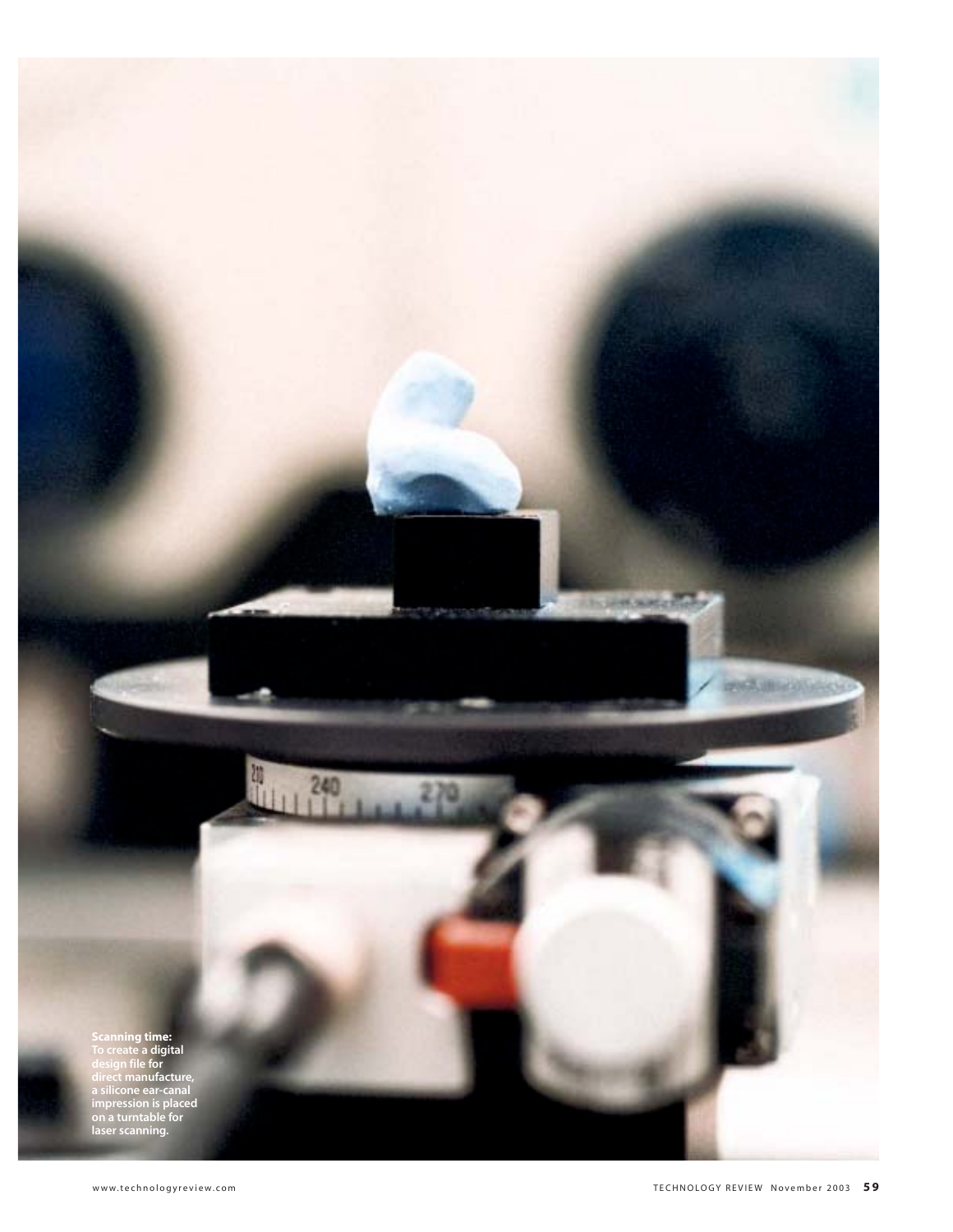**Scanning time: To create a digital design file for direct manufacture, a silicone ear-canal impression is placed on a turntable for laser scanning.**

御

 $\mathbf{h}$ 

240

**HELGIN** 

**CONTRACTOR**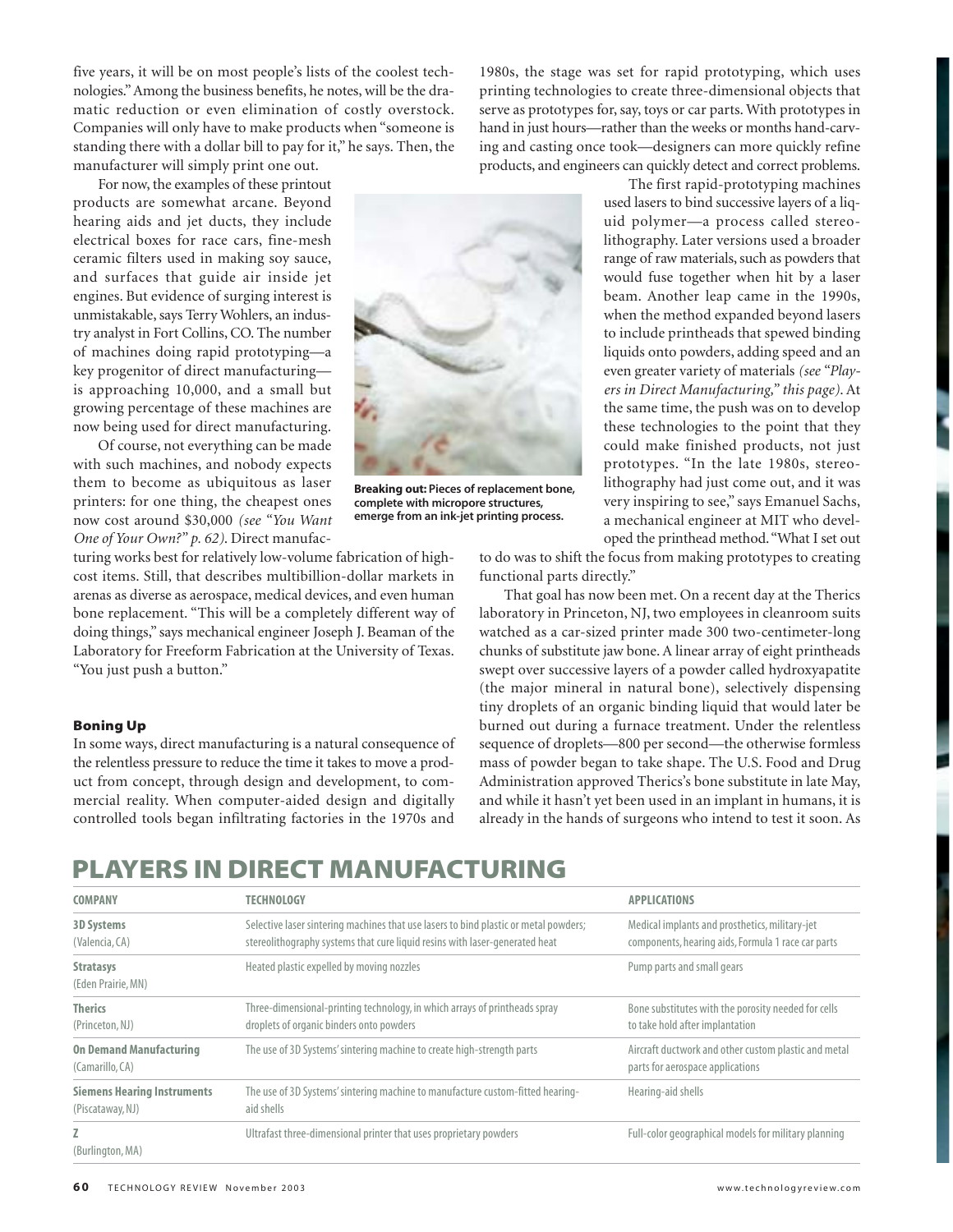five years, it will be on most people's lists of the coolest technologies." Among the business benefits, he notes, will be the dramatic reduction or even elimination of costly overstock. Companies will only have to make products when "someone is standing there with a dollar bill to pay for it," he says. Then, the manufacturer will simply print one out.

For now, the examples of these printout products are somewhat arcane. Beyond hearing aids and jet ducts, they include electrical boxes for race cars, fine-mesh ceramic filters used in making soy sauce, and surfaces that guide air inside jet engines. But evidence of surging interest is unmistakable, says Terry Wohlers, an industry analyst in Fort Collins, CO. The number of machines doing rapid prototyping—a key progenitor of direct manufacturing is approaching 10,000, and a small but growing percentage of these machines are now being used for direct manufacturing.

Of course, not everything can be made with such machines, and nobody expects them to become as ubiquitous as laser printers: for one thing, the cheapest ones now cost around \$30,000 *(see "You Want One of Your Own?" p. 62)*. Direct manufac-



**Breaking out: Pieces of replacement bone, complete with micropore structures, emerge from an ink-jet printing process.**

1980s, the stage was set for rapid prototyping, which uses printing technologies to create three-dimensional objects that serve as prototypes for, say, toys or car parts. With prototypes in hand in just hours—rather than the weeks or months hand-carving and casting once took—designers can more quickly refine products, and engineers can quickly detect and correct problems.

> The first rapid-prototyping machines used lasers to bind successive layers of a liquid polymer—a process called stereolithography. Later versions used a broader range of raw materials, such as powders that would fuse together when hit by a laser beam. Another leap came in the 1990s, when the method expanded beyond lasers to include printheads that spewed binding liquids onto powders, adding speed and an even greater variety of materials *(see "Players in Direct Manufacturing," this page)*. At the same time, the push was on to develop these technologies to the point that they could make finished products, not just prototypes. "In the late 1980s, stereolithography had just come out, and it was very inspiring to see," says Emanuel Sachs, a mechanical engineer at MIT who developed the printhead method."What I set out

turing works best for relatively low-volume fabrication of highcost items. Still, that describes multibillion-dollar markets in arenas as diverse as aerospace, medical devices, and even human bone replacement. "This will be a completely different way of doing things," says mechanical engineer Joseph J. Beaman of the Laboratory for Freeform Fabrication at the University of Texas. "You just push a button."

**Boning Up** In some ways, direct manufacturing is a natural consequence of the relentless pressure to reduce the time it takes to move a product from concept, through design and development, to commercial reality. When computer-aided design and digitally controlled tools began infiltrating factories in the 1970s and to do was to shift the focus from making prototypes to creating functional parts directly."

That goal has now been met. On a recent day at the Therics laboratory in Princeton, NJ, two employees in cleanroom suits watched as a car-sized printer made 300 two-centimeter-long chunks of substitute jaw bone. A linear array of eight printheads swept over successive layers of a powder called hydroxyapatite (the major mineral in natural bone), selectively dispensing tiny droplets of an organic binding liquid that would later be burned out during a furnace treatment. Under the relentless sequence of droplets—800 per second—the otherwise formless mass of powder began to take shape. The U.S. Food and Drug Administration approved Therics's bone substitute in late May, and while it hasn't yet been used in an implant in humans, it is already in the hands of surgeons who intend to test it soon. As

## **PLAYERS IN DIRECT MANUFACTURING**

| <b>COMPANY</b>                                         | TECHNOLOGY                                                                                                                                                          | <b>APPLICATIONS</b>                                                                                  |
|--------------------------------------------------------|---------------------------------------------------------------------------------------------------------------------------------------------------------------------|------------------------------------------------------------------------------------------------------|
| <b>3D Systems</b><br>(Valencia, CA)                    | Selective laser sintering machines that use lasers to bind plastic or metal powders;<br>stereolithography systems that cure liquid resins with laser-generated heat | Medical implants and prosthetics, military-jet<br>components, hearing aids, Formula 1 race car parts |
| <b>Stratasys</b><br>(Eden Prairie, MN)                 | Heated plastic expelled by moving nozzles                                                                                                                           | Pump parts and small gears                                                                           |
| <b>Therics</b><br>(Princeton, NJ)                      | Three-dimensional-printing technology, in which arrays of printheads spray<br>droplets of organic binders onto powders                                              | Bone substitutes with the porosity needed for cells<br>to take hold after implantation               |
| <b>On Demand Manufacturing</b><br>(Camarillo, CA)      | The use of 3D Systems' sintering machine to create high-strength parts                                                                                              | Aircraft ductwork and other custom plastic and metal<br>parts for aerospace applications             |
| <b>Siemens Hearing Instruments</b><br>(Piscataway, NJ) | The use of 3D Systems' sintering machine to manufacture custom-fitted hearing-<br>aid shells                                                                        | Hearing-aid shells                                                                                   |
| Z<br>(Burlington, MA)                                  | Ultrafast three-dimensional printer that uses proprietary powders                                                                                                   | Full-color geographical models for military planning                                                 |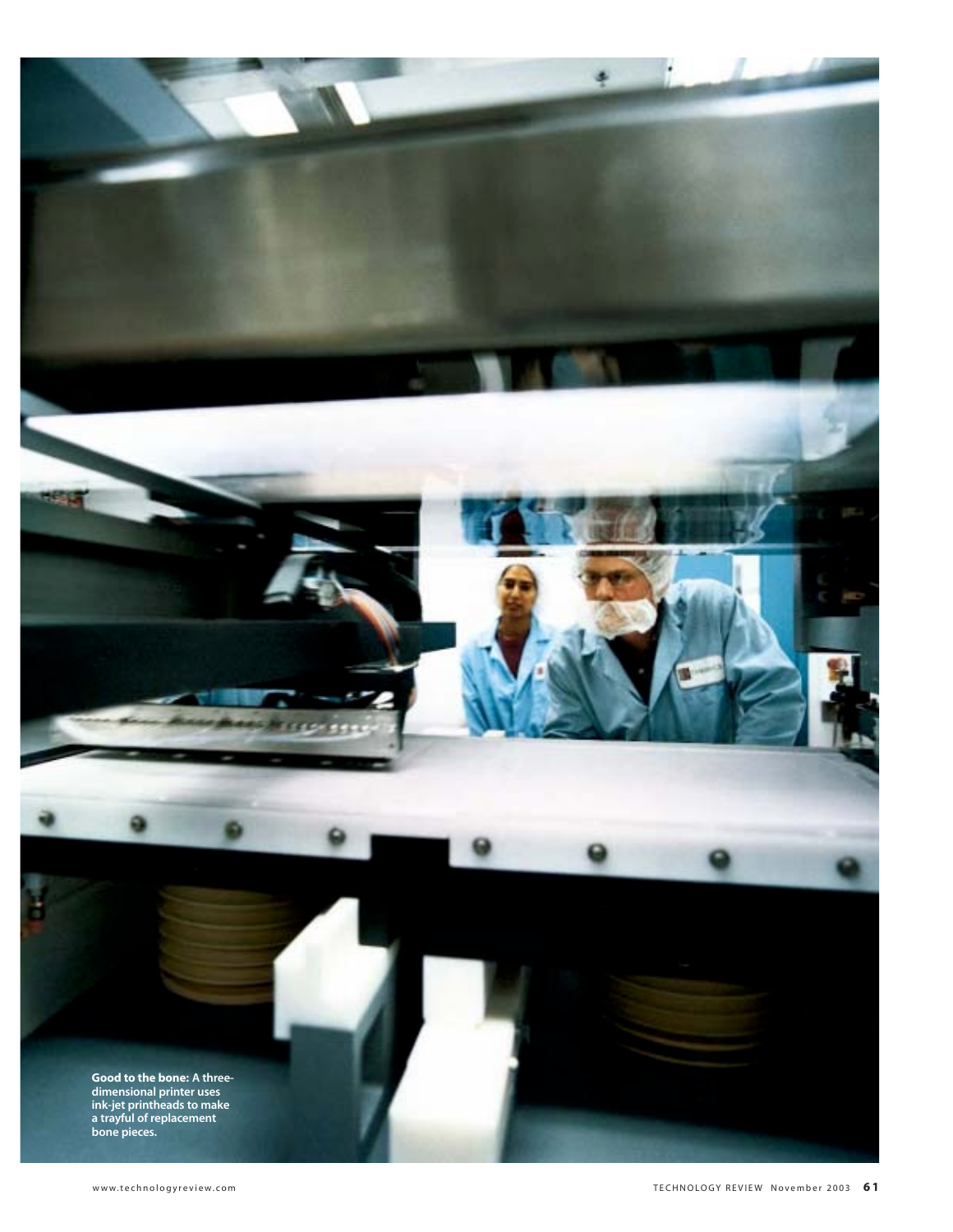